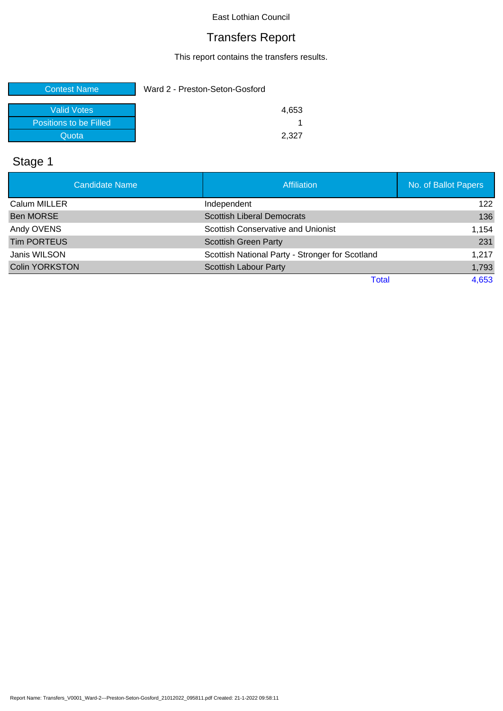## Transfers Report

This report contains the transfers results.

| <b>Contest Name</b>    | Ward 2 - Preston-Seton-Gosford |       |
|------------------------|--------------------------------|-------|
| Valid Votes            |                                | 4,653 |
| Positions to be Filled |                                |       |
| Quota                  |                                | 2.327 |

# Stage 1

| <b>Candidate Name</b> | <b>Affiliation</b>                              | No. of Ballot Papers |
|-----------------------|-------------------------------------------------|----------------------|
| Calum MILLER          | Independent                                     | 122                  |
| <b>Ben MORSE</b>      | <b>Scottish Liberal Democrats</b>               | 136                  |
| Andy OVENS            | Scottish Conservative and Unionist              | 1,154                |
| <b>Tim PORTEUS</b>    | <b>Scottish Green Party</b>                     | 231                  |
| Janis WILSON          | Scottish National Party - Stronger for Scotland | 1,217                |
| <b>Colin YORKSTON</b> | <b>Scottish Labour Party</b>                    | 1,793                |
|                       | Total                                           | 4,653                |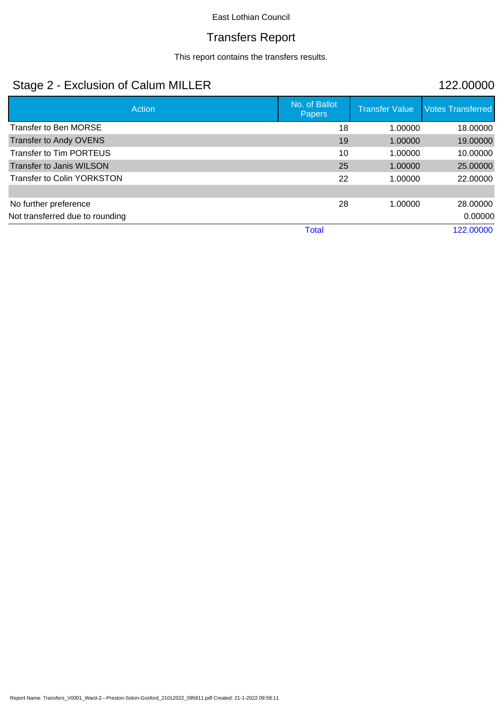## Transfers Report

This report contains the transfers results.

## Stage 2 - Exclusion of Calum MILLER 122.00000

| Action                            | No. of Ballot<br><b>Papers</b> |    | <b>Transfer Value</b> | <b>Votes Transferred</b> |
|-----------------------------------|--------------------------------|----|-----------------------|--------------------------|
| <b>Transfer to Ben MORSE</b>      |                                | 18 | 1.00000               | 18.00000                 |
| <b>Transfer to Andy OVENS</b>     |                                | 19 | 1.00000               | 19.00000                 |
| <b>Transfer to Tim PORTEUS</b>    |                                | 10 | 1.00000               | 10.00000                 |
| <b>Transfer to Janis WILSON</b>   |                                | 25 | 1.00000               | 25.00000                 |
| <b>Transfer to Colin YORKSTON</b> |                                | 22 | 1.00000               | 22.00000                 |
|                                   |                                |    |                       |                          |
| No further preference             |                                | 28 | 1.00000               | 28.00000                 |
| Not transferred due to rounding   |                                |    |                       | 0.00000                  |
|                                   | <b>Total</b>                   |    |                       | 122.00000                |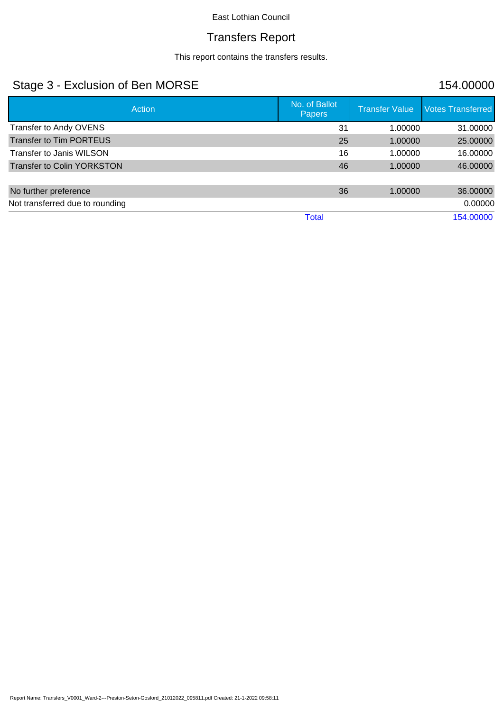## Transfers Report

This report contains the transfers results.

## Stage 3 - Exclusion of Ben MORSE 154.00000

| Action                            | No. of Ballot<br><b>Papers</b> | <b>Transfer Value</b> | <b>Votes Transferred</b> |
|-----------------------------------|--------------------------------|-----------------------|--------------------------|
| Transfer to Andy OVENS            | 31                             | 1.00000               | 31.00000                 |
| <b>Transfer to Tim PORTEUS</b>    | 25                             | 1.00000               | 25.00000                 |
| Transfer to Janis WILSON          | 16                             | 1.00000               | 16.00000                 |
| <b>Transfer to Colin YORKSTON</b> | 46                             | 1.00000               | 46.00000                 |
|                                   |                                |                       |                          |
| No further preference             | 36                             | 1.00000               | 36,00000                 |
| Not transferred due to rounding   |                                |                       | 0.00000                  |
|                                   | Total                          |                       | 154.00000                |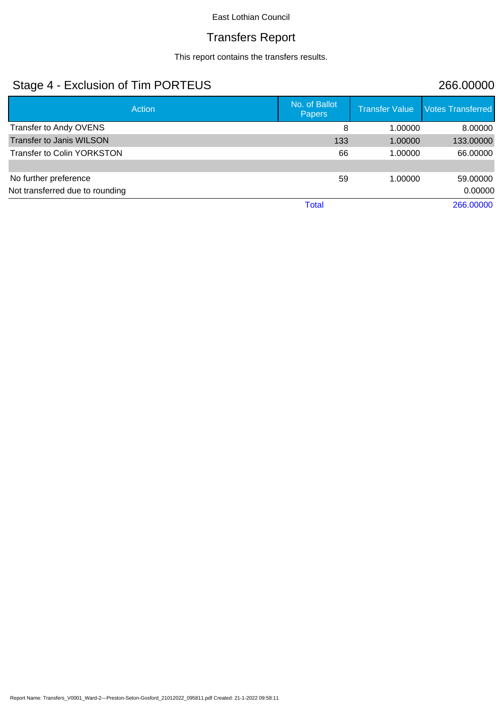## Transfers Report

This report contains the transfers results.

## Stage 4 - Exclusion of Tim PORTEUS 266.00000

| Action                            | No. of Ballot<br>Papers | <b>Transfer Value</b> | <b>Votes Transferred</b> |
|-----------------------------------|-------------------------|-----------------------|--------------------------|
| Transfer to Andy OVENS            | 8                       | 1.00000               | 8.00000                  |
| <b>Transfer to Janis WILSON</b>   | 133                     | 1.00000               | 133.00000                |
| <b>Transfer to Colin YORKSTON</b> | 66                      | 1.00000               | 66.00000                 |
|                                   |                         |                       |                          |
| No further preference             | 59                      | 1.00000               | 59,00000                 |
| Not transferred due to rounding   |                         |                       | 0.00000                  |
|                                   | <b>Total</b>            |                       | 266.00000                |
|                                   |                         |                       |                          |

Report Name: Transfers\_V0001\_Ward-2---Preston-Seton-Gosford\_21012022\_095811.pdf Created: 21-1-2022 09:58:11